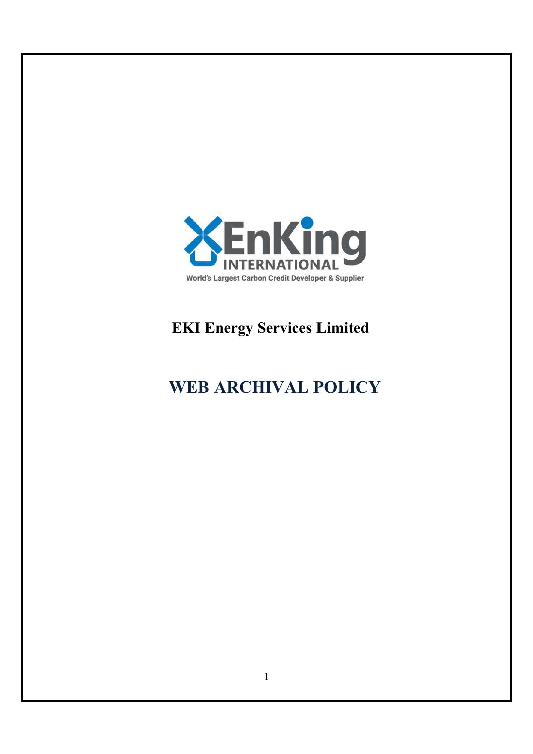

# **EKI Energy Services Limited**

# **WEB ARCHIVAL POLICY**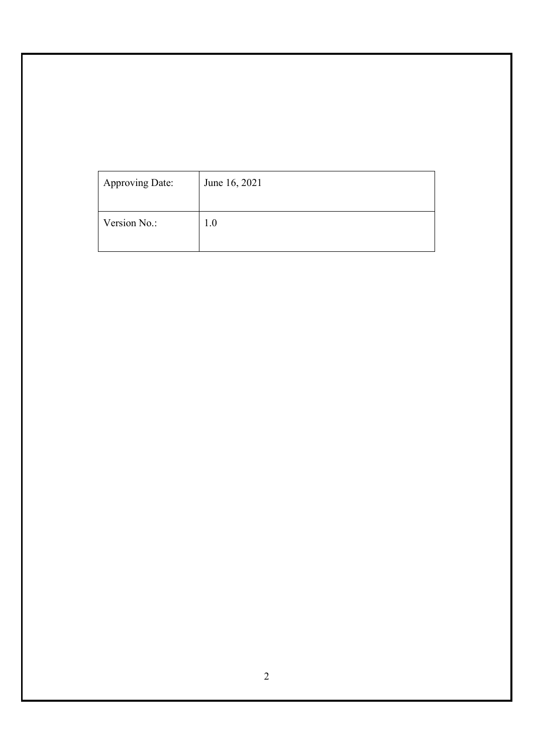| Approving Date: | June 16, 2021 |
|-----------------|---------------|
| Version No.:    | 1.0           |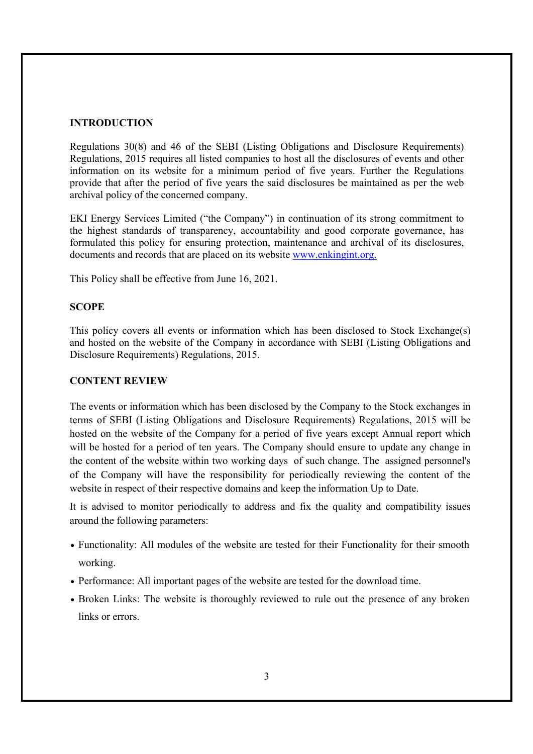#### **INTRODUCTION**

Regulations 30(8) and 46 of the SEBI (Listing Obligations and Disclosure Requirements) Regulations, 2015 requires all listed companies to host all the disclosures of events and other information on its website for a minimum period of five years. Further the Regulations provide that after the period of five years the said disclosures be maintained as per the web archival policy of the concerned company.

EKI Energy Services Limited ("the Company") in continuation of its strong commitment to the highest standards of transparency, accountability and good corporate governance, has formulated this policy for ensuring protection, maintenance and archival of its disclosures, documents and records that are placed on its website www.enkingint.org.

This Policy shall be effective from June 16, 2021.

#### **SCOPE**

This policy covers all events or information which has been disclosed to Stock Exchange(s) and hosted on the website of the Company in accordance with SEBI (Listing Obligations and Disclosure Requirements) Regulations, 2015.

#### **CONTENT REVIEW**

The events or information which has been disclosed by the Company to the Stock exchanges in terms of SEBI (Listing Obligations and Disclosure Requirements) Regulations, 2015 will be hosted on the website of the Company for a period of five years except Annual report which will be hosted for a period of ten years. The Company should ensure to update any change in the content of the website within two working days of such change. The assigned personnel's of the Company will have the responsibility for periodically reviewing the content of the website in respect of their respective domains and keep the information Up to Date.

It is advised to monitor periodically to address and fix the quality and compatibility issues around the following parameters:

- Functionality: All modules of the website are tested for their Functionality for their smooth working.
- Performance: All important pages of the website are tested for the download time.
- Broken Links: The website is thoroughly reviewed to rule out the presence of any broken links or errors.